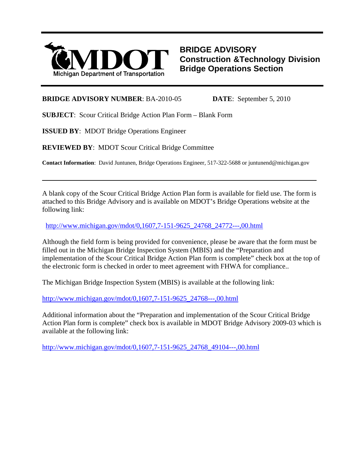

**BRIDGE ADVISORY Construction &Technology Division Bridge Operations Section**

#### **BRIDGE ADVISORY NUMBER**: BA-2010-05 **DATE**: September 5, 2010

**SUBJECT**: Scour Critical Bridge Action Plan Form – Blank Form

**ISSUED BY**: MDOT Bridge Operations Engineer

l

**REVIEWED BY**: MDOT Scour Critical Bridge Committee

**Contact Information**: David Juntunen, Bridge Operations Engineer, 517-322-5688 or juntunend@michigan.gov

A blank copy of the Scour Critical Bridge Action Plan form is available for field use. The form is attached to this Bridge Advisory and is available on MDOT's Bridge Operations website at the following link:

[http://www.michigan.gov/mdot/0,1607,7-151-9625\\_24768\\_24772---,00.html](http://www.michigan.gov/mdot/0,1607,7-151-9625_24768_24772---,00.html)

Although the field form is being provided for convenience, please be aware that the form must be filled out in the Michigan Bridge Inspection System (MBIS) and the "Preparation and implementation of the Scour Critical Bridge Action Plan form is complete" check box at the top of the electronic form is checked in order to meet agreement with FHWA for compliance..

The Michigan Bridge Inspection System (MBIS) is available at the following link:

[http://www.michigan.gov/mdot/0,1607,7-151-9625\\_24768---,00.html](http://www.michigan.gov/mdot/0,1607,7-151-9625_24768---,00.html)

Additional information about the "Preparation and implementation of the Scour Critical Bridge Action Plan form is complete" check box is available in MDOT Bridge Advisory 2009-03 which is available at the following link:

[http://www.michigan.gov/mdot/0,1607,7-151-9625\\_24768\\_49104---,00.html](http://www.michigan.gov/mdot/0,1607,7-151-9625_24768_49104---,00.html)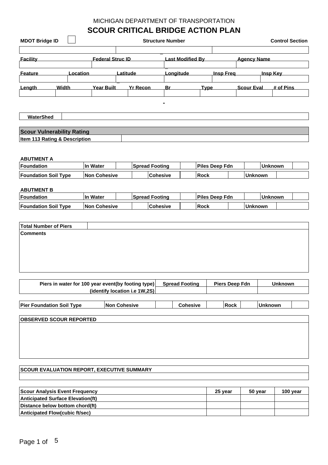## **SCOUR CRITICAL BRIDGE ACTION PLAN**

| <b>MDOT Bridge ID</b> |          |                         | <b>Structure Number</b> | <b>Control Section</b> |             |                  |                    |                 |
|-----------------------|----------|-------------------------|-------------------------|------------------------|-------------|------------------|--------------------|-----------------|
| Facility              |          | <b>Federal Struc ID</b> |                         | Last Modified By       |             |                  | <b>Agency Name</b> |                 |
| <b>Feature</b>        | Location |                         | _atitude                | Longitude              |             | <b>Insp Freg</b> |                    | <u>Insp Kev</u> |
| Length                | Width    | <u>Year Built</u>       | <u>Yr Recon</u>         | Br                     | <u>Type</u> |                  | <b>Scour Eval</b>  | # of Pins       |
|                       |          |                         |                         |                        |             |                  |                    |                 |

**WaterShed**

r

| <b>Scour Vulnerability Rating</b>        |  |
|------------------------------------------|--|
| <b>Item 113 Rating &amp; Description</b> |  |

#### **ABUTMENT A**

| Foundation                  | Water         | ⊺Spread Footing |                 | <b>Piles Deep Fdn</b> |  | Unknown  |  |  |
|-----------------------------|---------------|-----------------|-----------------|-----------------------|--|----------|--|--|
| <b>Foundation Soil Type</b> | ⊺Non Cohesive |                 | <b>Cohesive</b> | Rock                  |  | ∣Unknown |  |  |

#### **ABUTMENT B**

| <b>Foundation</b>           | . Water       |  | <b>Spread Footing</b> |  | <b>Piles Deep Fdn</b> |  | ⊺Unknown |  |  |
|-----------------------------|---------------|--|-----------------------|--|-----------------------|--|----------|--|--|
| <b>Foundation Soil Type</b> | ⊺Non Cohesive |  | ∣Cohesive             |  | Rock                  |  | ∣Unknown |  |  |

| Piers in water for 100 year event(by footing type) | <b>Spread Footing</b> | Piers Deep Fdn | <b>Unknown</b> |
|----------------------------------------------------|-----------------------|----------------|----------------|
| (identify location i.e $1W.2S$ )                   |                       |                |                |
|                                                    |                       |                |                |

| <b>Pier Foundation Soil Type</b> | Non 0<br>Cohesive | Cohesive |  | Rock |  | <b>Unknown</b> |  |
|----------------------------------|-------------------|----------|--|------|--|----------------|--|
|                                  |                   |          |  |      |  |                |  |

| <b>OBSERVED SCOUR REPORTED</b> |  |  |
|--------------------------------|--|--|
|                                |  |  |
|                                |  |  |
|                                |  |  |
|                                |  |  |
|                                |  |  |
|                                |  |  |
|                                |  |  |

### **SCOUR EVALUATION REPORT, EXECUTIVE SUMMARY**

| Scour Analysis Event Frequency           | 25 year | 50 vear | 100 year |
|------------------------------------------|---------|---------|----------|
| <b>Anticipated Surface Elevation(ft)</b> |         |         |          |
| Distance below bottom chord(ft)          |         |         |          |
| Anticipated Flow(cubic ft/sec)           |         |         |          |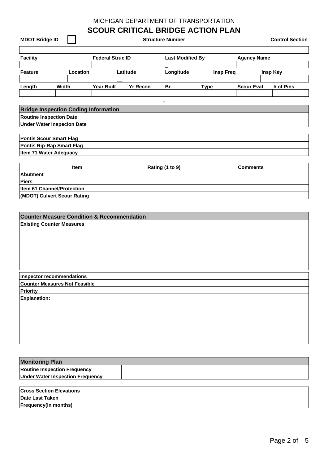# **SCOUR CRITICAL BRIDGE ACTION PLAN**

| <b>MDOT Bridge ID</b>             |                                             |                         |          |                 | <b>Structure Number</b> |             |                  |                    | <b>Control Section</b> |
|-----------------------------------|---------------------------------------------|-------------------------|----------|-----------------|-------------------------|-------------|------------------|--------------------|------------------------|
|                                   |                                             |                         |          |                 |                         |             |                  |                    |                        |
| <b>Facility</b>                   |                                             | <b>Federal Struc ID</b> |          |                 | <b>Last Modified By</b> |             |                  | <b>Agency Name</b> |                        |
|                                   |                                             |                         |          |                 |                         |             |                  |                    |                        |
| <b>Feature</b>                    | Location                                    |                         | Latitude |                 | Longitude               |             | <b>Insp Freq</b> |                    | Insp Key               |
|                                   |                                             |                         |          |                 |                         |             |                  |                    |                        |
| Length                            | Width                                       | <b>Year Built</b>       |          | <b>Yr Recon</b> | Br                      | <b>Type</b> |                  | <b>Scour Eval</b>  | # of Pins              |
|                                   |                                             |                         |          |                 |                         |             |                  |                    |                        |
|                                   |                                             |                         |          |                 |                         |             |                  |                    |                        |
|                                   | <b>Bridge Inspection Coding Information</b> |                         |          |                 |                         |             |                  |                    |                        |
| <b>Routine Inspection Date</b>    |                                             |                         |          |                 |                         |             |                  |                    |                        |
| <b>Under Water Inspecion Date</b> |                                             |                         |          |                 |                         |             |                  |                    |                        |
|                                   |                                             |                         |          |                 |                         |             |                  |                    |                        |
| <b>Pontis Scour Smart Flag</b>    |                                             |                         |          |                 |                         |             |                  |                    |                        |
| <b>Pontis Rip-Rap Smart Flag</b>  |                                             |                         |          |                 |                         |             |                  |                    |                        |
| <b>Item 71 Water Adequacy</b>     |                                             |                         |          |                 |                         |             |                  |                    |                        |
|                                   |                                             |                         |          |                 |                         |             |                  |                    |                        |
|                                   | <b>Item</b>                                 |                         |          |                 | Rating (1 to 9)         |             |                  | <b>Comments</b>    |                        |
| <b>Abutment</b>                   |                                             |                         |          |                 |                         |             |                  |                    |                        |
| Piers                             |                                             |                         |          |                 |                         |             |                  |                    |                        |
| <b>Item 61 Channel/Protection</b> |                                             |                         |          |                 |                         |             |                  |                    |                        |
|                                   | (MDOT) Culvert Scour Rating                 |                         |          |                 |                         |             |                  |                    |                        |

| <b>Counter Measure Condition &amp; Recommendation</b> |  |
|-------------------------------------------------------|--|
| <b>Existing Counter Measures</b>                      |  |
|                                                       |  |
|                                                       |  |
|                                                       |  |
|                                                       |  |
|                                                       |  |
|                                                       |  |
| <b>Inspector recommendations</b>                      |  |
| <b>Counter Measures Not Feasible</b>                  |  |
| <b>Priority</b>                                       |  |
| <b>Explanation:</b>                                   |  |
|                                                       |  |
|                                                       |  |
|                                                       |  |
|                                                       |  |
|                                                       |  |
|                                                       |  |
|                                                       |  |
|                                                       |  |
| <b>Monitoring Plan</b>                                |  |
| <b>Routine Inspection Frequency</b>                   |  |
| <b>Under Water Inspection Frequency</b>               |  |

| <b>Cross Section Elevations</b> |
|---------------------------------|
| Date Last Taken                 |
| <b>Frequency(in months)</b>     |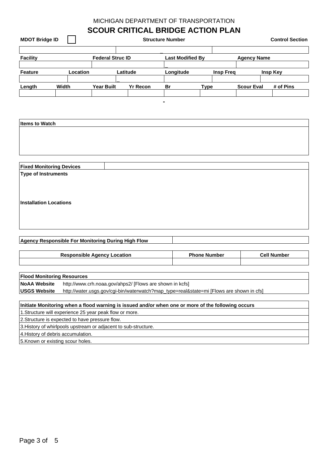| <b>MDOT Bridge ID</b>                                                                                                   |              |                                    |                                                          | <b>Structure Number</b> | <b>SCOUR CRITICAL BRIDGE ACTION PLAN</b>                                                           |                    | <b>Control Section</b> |
|-------------------------------------------------------------------------------------------------------------------------|--------------|------------------------------------|----------------------------------------------------------|-------------------------|----------------------------------------------------------------------------------------------------|--------------------|------------------------|
| <b>Facility</b>                                                                                                         |              | <b>Federal Struc ID</b>            |                                                          | <b>Last Modified By</b> |                                                                                                    | <b>Agency Name</b> |                        |
|                                                                                                                         |              |                                    |                                                          |                         |                                                                                                    |                    |                        |
| <b>Feature</b>                                                                                                          | Location     |                                    | Latitude                                                 | Longitude               | <b>Insp Freq</b>                                                                                   |                    | <b>Insp Key</b>        |
|                                                                                                                         |              |                                    |                                                          |                         |                                                                                                    |                    |                        |
| Length                                                                                                                  | <b>Width</b> | <b>Year Built</b>                  | <b>Yr Recon</b>                                          | Br                      | <b>Type</b>                                                                                        | <b>Scour Eval</b>  | # of Pins              |
| <b>Items to Watch</b><br><b>Fixed Monitoring Devices</b><br><b>Type of Instruments</b><br><b>Installation Locations</b> |              |                                    |                                                          |                         |                                                                                                    |                    |                        |
| Agency Responsible For Monitoring During High Flow                                                                      |              |                                    |                                                          |                         |                                                                                                    |                    |                        |
|                                                                                                                         |              | <b>Responsible Agency Location</b> |                                                          |                         | <b>Phone Number</b>                                                                                |                    | <b>Cell Number</b>     |
| <b>Flood Monitoring Resources</b>                                                                                       |              |                                    |                                                          |                         |                                                                                                    |                    |                        |
| <b>NoAA Website</b>                                                                                                     |              |                                    | http://www.crh.noaa.gov/ahps2/ [Flows are shown in kcfs] |                         |                                                                                                    |                    |                        |
| <b>USGS Website</b>                                                                                                     |              |                                    |                                                          |                         | http://water.usgs.gov/cgi-bin/waterwatch?map_type=real&state=mi [Flows are shown in cfs]           |                    |                        |
|                                                                                                                         |              |                                    |                                                          |                         | Initiate Monitoring when a flood warning is issued and/or when one or more of the following occurs |                    |                        |
| 1. Structure will experience 25 year peak flow or more.                                                                 |              |                                    |                                                          |                         |                                                                                                    |                    |                        |
|                                                                                                                         |              |                                    |                                                          |                         |                                                                                                    |                    |                        |
|                                                                                                                         |              |                                    |                                                          |                         |                                                                                                    |                    |                        |
| 2. Structure is expected to have pressure flow.                                                                         |              |                                    |                                                          |                         |                                                                                                    |                    |                        |
| 3. History of whirlpools upstream or adjacent to sub-structure.<br>4. History of debris accumulation.                   |              |                                    |                                                          |                         |                                                                                                    |                    |                        |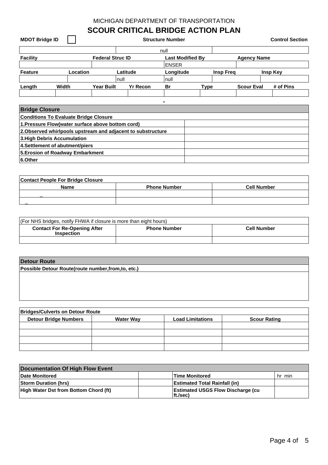# **SCOUR CRITICAL BRIDGE ACTION PLAN**

| <b>MDOT Bridge ID</b> |              |          |                         |          |                 | <b>Structure Number</b> |                         |                  |                    | <b>Control Section</b> |
|-----------------------|--------------|----------|-------------------------|----------|-----------------|-------------------------|-------------------------|------------------|--------------------|------------------------|
|                       |              |          |                         |          |                 | null                    |                         |                  |                    |                        |
| <b>Facility</b>       |              |          | <b>Federal Struc ID</b> |          |                 |                         | <b>Last Modified By</b> |                  | <b>Agency Name</b> |                        |
|                       |              |          |                         |          |                 | <b>ENSER</b>            |                         |                  |                    |                        |
| <b>Feature</b>        |              | Location |                         | Latitude |                 | Longitude               |                         | <b>Insp Freg</b> |                    | Insp Key               |
|                       |              |          |                         | null     |                 | null                    |                         |                  |                    |                        |
| Length                | <b>Width</b> |          | <b>Year Built</b>       |          | <b>Yr Recon</b> | Br                      | <b>Type</b>             |                  | <b>Scour Eval</b>  | # of Pins              |
|                       |              |          |                         |          |                 |                         |                         |                  |                    |                        |
|                       |              |          |                         |          |                 | $\blacksquare$          |                         |                  |                    |                        |

| <b>Bridge Closure</b>                                        |  |
|--------------------------------------------------------------|--|
| <b>Conditions To Evaluate Bridge Closure</b>                 |  |
| 1. Pressure Flow(water surface above bottom cord)            |  |
| 2. Observed whirlpools upstream and adjacent to substructure |  |
| 3. High Debris Accumulation                                  |  |
| 4. Settlement of abutment/piers                              |  |
| 5. Erosion of Roadway Embarkment                             |  |
| 6.Other                                                      |  |

| <b>Contact People For Bridge Closure</b> |                     |                    |  |  |
|------------------------------------------|---------------------|--------------------|--|--|
| <b>Name</b>                              | <b>Phone Number</b> | <b>Cell Number</b> |  |  |
|                                          |                     |                    |  |  |
|                                          |                     |                    |  |  |

| (For NHS bridges, notify FHWA if closure is more than eight hours) |                     |                    |
|--------------------------------------------------------------------|---------------------|--------------------|
| <b>Contact For Re-Opening After</b><br><b>Inspection</b>           | <b>Phone Number</b> | <b>Cell Number</b> |
|                                                                    |                     |                    |

| <b>Detour Route</b>                                 |  |  |  |  |  |
|-----------------------------------------------------|--|--|--|--|--|
| Possible Detour Route(route number, from, to, etc.) |  |  |  |  |  |
|                                                     |  |  |  |  |  |
|                                                     |  |  |  |  |  |
|                                                     |  |  |  |  |  |
|                                                     |  |  |  |  |  |

| <b>Bridges/Culverts on Detour Route</b> |                  |                         |                     |  |  |  |
|-----------------------------------------|------------------|-------------------------|---------------------|--|--|--|
| <b>Detour Bridge Numbers</b>            | <b>Water Way</b> | <b>Load Limitations</b> | <b>Scour Rating</b> |  |  |  |
|                                         |                  |                         |                     |  |  |  |
|                                         |                  |                         |                     |  |  |  |
|                                         |                  |                         |                     |  |  |  |
|                                         |                  |                         |                     |  |  |  |

| Documentation Of High Flow Event             |                                                       |        |  |  |  |
|----------------------------------------------|-------------------------------------------------------|--------|--|--|--|
| Date Monitored                               | Time Monitored                                        | hr min |  |  |  |
| <b>Storm Duration (hrs)</b>                  | <b>Estimated Total Rainfall (in)</b>                  |        |  |  |  |
| <b>High Water Dst from Bottom Chord (ft)</b> | <b>Estimated USGS Flow Discharge (cu</b><br>lft./sec) |        |  |  |  |